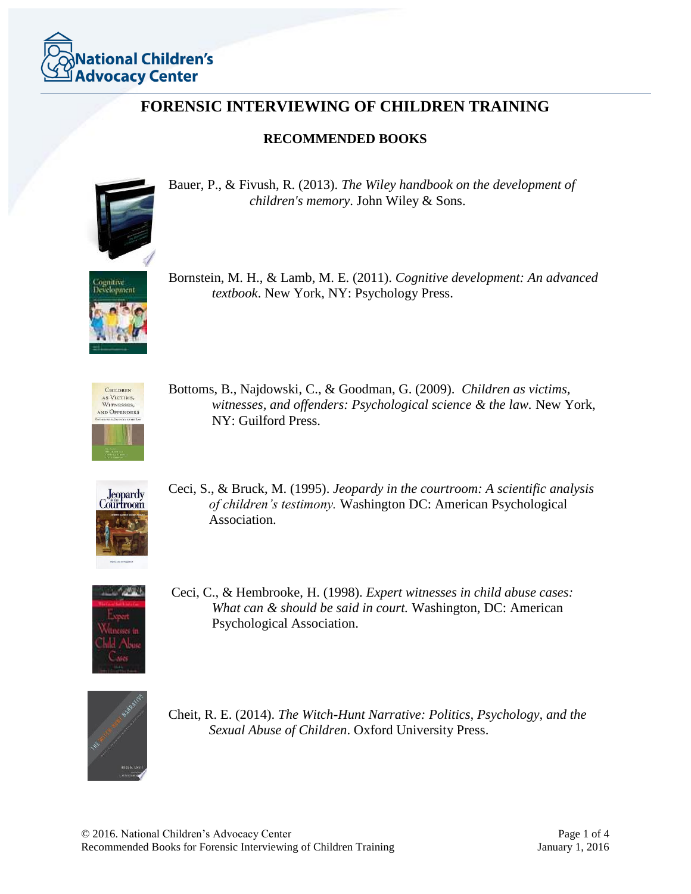

## **FORENSIC INTERVIEWING OF CHILDREN TRAINING**

## **RECOMMENDED BOOKS**



Bauer, P., & Fivush, R. (2013). *The Wiley handbook on the development of children's memory*. John Wiley & Sons.



Bornstein, M. H., & Lamb, M. E. (2011). *Cognitive development: An advanced textbook*. New York, NY: Psychology Press.



Bottoms, B., Najdowski, C., & Goodman, G. (2009). *Children as victims, witnesses, and offenders: Psychological science & the law.* New York, NY: Guilford Press.



Ceci, S., & Bruck, M. (1995). *Jeopardy in the courtroom: A scientific analysis of children's testimony.* Washington DC: American Psychological Association.



Ceci, C., & Hembrooke, H. (1998). *Expert witnesses in child abuse cases: What can & should be said in court.* Washington, DC: American Psychological Association.



Cheit, R. E. (2014). *The Witch-Hunt Narrative: Politics, Psychology, and the Sexual Abuse of Children*. Oxford University Press.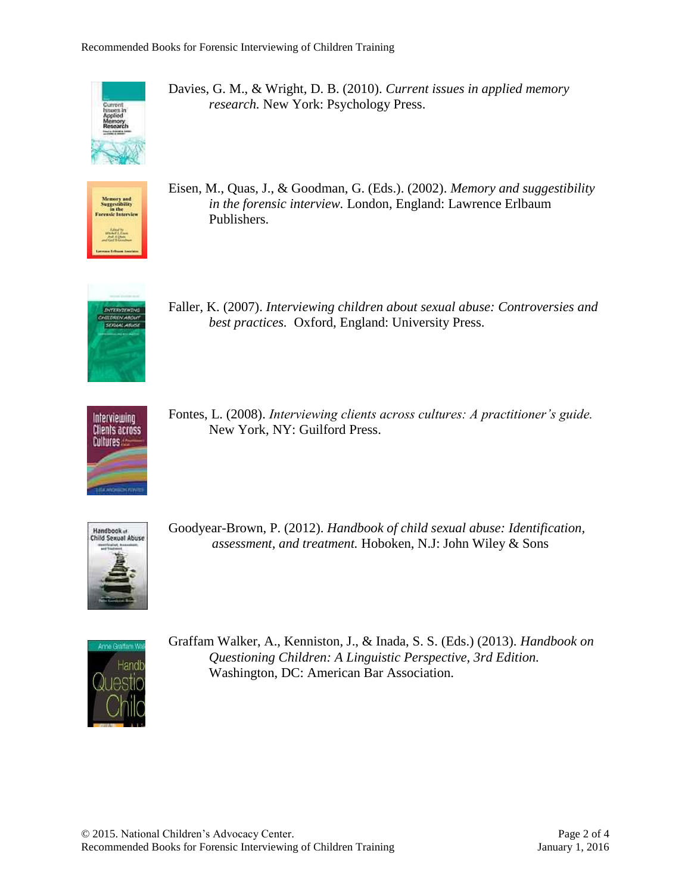

Davies, G. M., & Wright, D. B. (2010). *Current issues in applied memory research.* New York: Psychology Press.



Eisen, M., Quas, J., & Goodman, G. (Eds.). (2002). *Memory and suggestibility in the forensic interview.* London, England: Lawrence Erlbaum Publishers.



Faller, K. (2007). *Interviewing children about sexual abuse: Controversies and best practices.* Oxford, England: University Press.



Fontes, L. (2008). *Interviewing clients across cultures: A practitioner's guide.*  New York, NY: Guilford Press.



Goodyear-Brown, P. (2012). *Handbook of child sexual abuse: Identification, assessment, and treatment.* Hoboken, N.J: John Wiley & Sons



Graffam Walker, A., Kenniston, J., & Inada, S. S. (Eds.) (2013). *Handbook on Questioning Children: A Linguistic Perspective, 3rd Edition.* Washington, DC: American Bar Association.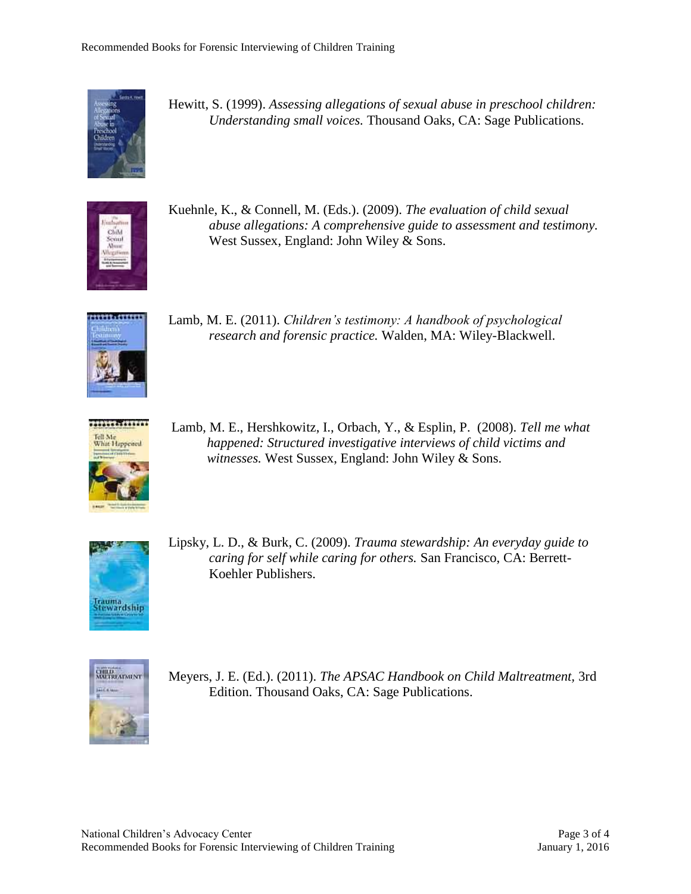

Hewitt, S. (1999). *Assessing allegations of sexual abuse in preschool children: Understanding small voices.* Thousand Oaks, CA: Sage Publications.



Kuehnle, K., & Connell, M. (Eds.). (2009). *The evaluation of child sexual abuse allegations: A comprehensive guide to assessment and testimony.* West Sussex, England: John Wiley & Sons.



Lamb, M. E. (2011). *Children's testimony: A handbook of psychological research and forensic practice.* Walden, MA: Wiley-Blackwell.



Lamb, M. E., Hershkowitz, I., Orbach, Y., & Esplin, P. (2008). *Tell me what happened: Structured investigative interviews of child victims and witnesses.* West Sussex, England: John Wiley & Sons.



Lipsky, L. D., & Burk, C. (2009). *Trauma stewardship: An everyday guide to caring for self while caring for others.* San Francisco, CA: Berrett-Koehler Publishers.



Meyers, J. E. (Ed.). (2011). *The APSAC Handbook on Child Maltreatment,* 3rd Edition. Thousand Oaks, CA: Sage Publications.